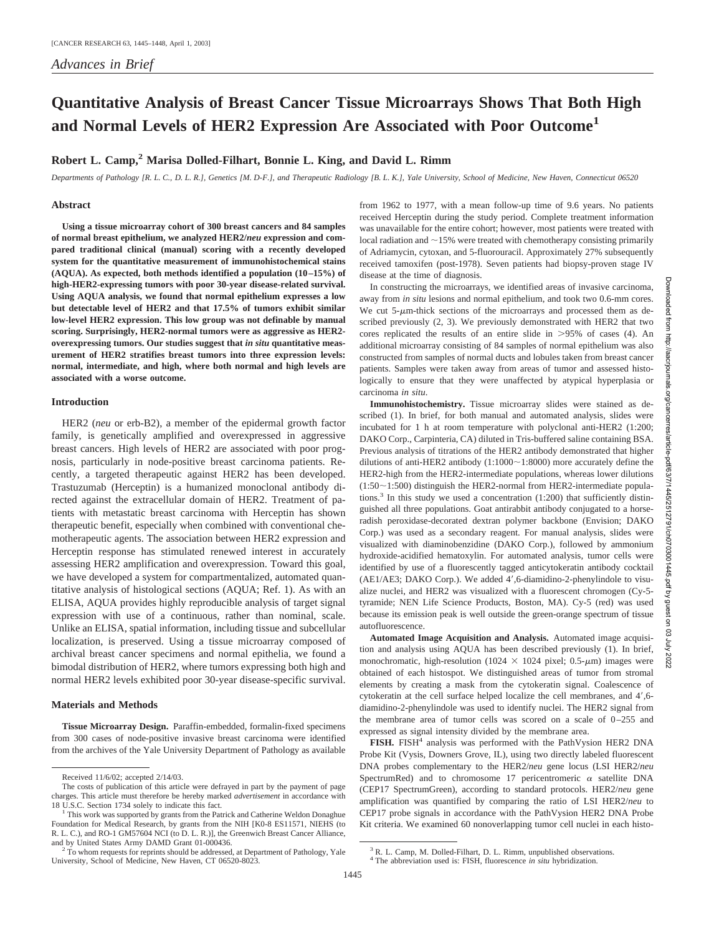# **Quantitative Analysis of Breast Cancer Tissue Microarrays Shows That Both High and Normal Levels of HER2 Expression Are Associated with Poor Outcome<sup>1</sup>**

## **Robert L. Camp,2 Marisa Dolled-Filhart, Bonnie L. King, and David L. Rimm**

*Departments of Pathology [R. L. C., D. L. R.], Genetics [M. D-F.], and Therapeutic Radiology [B. L. K.], Yale University, School of Medicine, New Haven, Connecticut 06520*

#### **Abstract**

**Using a tissue microarray cohort of 300 breast cancers and 84 samples of normal breast epithelium, we analyzed HER2/***neu* **expression and compared traditional clinical (manual) scoring with a recently developed system for the quantitative measurement of immunohistochemical stains (AQUA). As expected, both methods identified a population (10–15%) of high-HER2-expressing tumors with poor 30-year disease-related survival. Using AQUA analysis, we found that normal epithelium expresses a low but detectable level of HER2 and that 17.5% of tumors exhibit similar low-level HER2 expression. This low group was not definable by manual scoring. Surprisingly, HER2-normal tumors were as aggressive as HER2 overexpressing tumors. Our studies suggest that** *in situ* **quantitative measurement of HER2 stratifies breast tumors into three expression levels: normal, intermediate, and high, where both normal and high levels are associated with a worse outcome.**

### **Introduction**

HER2 (*neu* or erb-B2), a member of the epidermal growth factor family, is genetically amplified and overexpressed in aggressive breast cancers. High levels of HER2 are associated with poor prognosis, particularly in node-positive breast carcinoma patients. Recently, a targeted therapeutic against HER2 has been developed. Trastuzumab (Herceptin) is a humanized monoclonal antibody directed against the extracellular domain of HER2. Treatment of patients with metastatic breast carcinoma with Herceptin has shown therapeutic benefit, especially when combined with conventional chemotherapeutic agents. The association between HER2 expression and Herceptin response has stimulated renewed interest in accurately assessing HER2 amplification and overexpression. Toward this goal, we have developed a system for compartmentalized, automated quantitative analysis of histological sections (AQUA; Ref. 1). As with an ELISA, AQUA provides highly reproducible analysis of target signal expression with use of a continuous, rather than nominal, scale. Unlike an ELISA, spatial information, including tissue and subcellular localization, is preserved. Using a tissue microarray composed of archival breast cancer specimens and normal epithelia, we found a bimodal distribution of HER2, where tumors expressing both high and normal HER2 levels exhibited poor 30-year disease-specific survival.

### **Materials and Methods**

**Tissue Microarray Design.** Paraffin-embedded, formalin-fixed specimens from 300 cases of node-positive invasive breast carcinoma were identified from the archives of the Yale University Department of Pathology as available

In constructing the microarrays, we identified areas of invasive carcinoma, away from *in situ* lesions and normal epithelium, and took two 0.6-mm cores. We cut  $5-\mu$ m-thick sections of the microarrays and processed them as described previously (2, 3). We previously demonstrated with HER2 that two cores replicated the results of an entire slide in  $>95\%$  of cases (4). An additional microarray consisting of 84 samples of normal epithelium was also constructed from samples of normal ducts and lobules taken from breast cancer patients. Samples were taken away from areas of tumor and assessed histologically to ensure that they were unaffected by atypical hyperplasia or carcinoma *in situ*.

**Immunohistochemistry.** Tissue microarray slides were stained as described (1). In brief, for both manual and automated analysis, slides were incubated for 1 h at room temperature with polyclonal anti-HER2 (1:200; DAKO Corp., Carpinteria, CA) diluted in Tris-buffered saline containing BSA. Previous analysis of titrations of the HER2 antibody demonstrated that higher dilutions of anti-HER2 antibody  $(1:1000 \sim 1:8000)$  more accurately define the HER2-high from the HER2-intermediate populations, whereas lower dilutions  $(1:50\sim1:500)$  distinguish the HER2-normal from HER2-intermediate populations.<sup>3</sup> In this study we used a concentration  $(1:200)$  that sufficiently distinguished all three populations. Goat antirabbit antibody conjugated to a horseradish peroxidase-decorated dextran polymer backbone (Envision; DAKO Corp.) was used as a secondary reagent. For manual analysis, slides were visualized with diaminobenzidine (DAKO Corp.), followed by ammonium hydroxide-acidified hematoxylin. For automated analysis, tumor cells were identified by use of a fluorescently tagged anticytokeratin antibody cocktail (AE1/AE3; DAKO Corp.). We added 4',6-diamidino-2-phenylindole to visualize nuclei, and HER2 was visualized with a fluorescent chromogen (Cy-5 tyramide; NEN Life Science Products, Boston, MA). Cy-5 (red) was used because its emission peak is well outside the green-orange spectrum of tissue autofluorescence.

**Automated Image Acquisition and Analysis.** Automated image acquisition and analysis using AQUA has been described previously (1). In brief, monochromatic, high-resolution (1024  $\times$  1024 pixel; 0.5- $\mu$ m) images were obtained of each histospot. We distinguished areas of tumor from stromal elements by creating a mask from the cytokeratin signal. Coalescence of cytokeratin at the cell surface helped localize the cell membranes, and 4',6diamidino-2-phenylindole was used to identify nuclei. The HER2 signal from the membrane area of tumor cells was scored on a scale of 0–255 and expressed as signal intensity divided by the membrane area.

**FISH.** FISH4 analysis was performed with the PathVysion HER2 DNA Probe Kit (Vysis, Downers Grove, IL), using two directly labeled fluorescent DNA probes complementary to the HER2/*neu* gene locus (LSI HER2/*neu* SpectrumRed) and to chromosome 17 pericentromeric  $\alpha$  satellite DNA (CEP17 SpectrumGreen), according to standard protocols. HER2/*neu* gene amplification was quantified by comparing the ratio of LSI HER2/*neu* to CEP17 probe signals in accordance with the PathVysion HER2 DNA Probe Kit criteria. We examined 60 nonoverlapping tumor cell nuclei in each histo-

Received 11/6/02; accepted 2/14/03.

The costs of publication of this article were defrayed in part by the payment of page charges. This article must therefore be hereby marked *advertisement* in accordance with

<sup>&</sup>lt;sup>1</sup> This work was supported by grants from the Patrick and Catherine Weldon Donaghue Foundation for Medical Research, by grants from the NIH [K0-8 ES11571, NIEHS (to R. L. C.), and RO-1 GM57604 NCI (to D. L. R.)], the Greenwich Breast Cancer Alliance, and by United States Army DAMD Grant 01-000436.

 $2$  To whom requests for reprints should be addressed, at Department of Pathology, Yale University, School of Medicine, New Haven, CT 06520-8023.

from 1962 to 1977, with a mean follow-up time of 9.6 years. No patients received Herceptin during the study period. Complete treatment information was unavailable for the entire cohort; however, most patients were treated with local radiation and  $\sim$ 15% were treated with chemotherapy consisting primarily of Adriamycin, cytoxan, and 5-fluorouracil. Approximately 27% subsequently received tamoxifen (post-1978). Seven patients had biopsy-proven stage IV disease at the time of diagnosis.

<sup>3</sup> R. L. Camp, M. Dolled-Filhart, D. L. Rimm, unpublished observations. <sup>4</sup> The abbreviation used is: FISH, fluorescence *in situ* hybridization.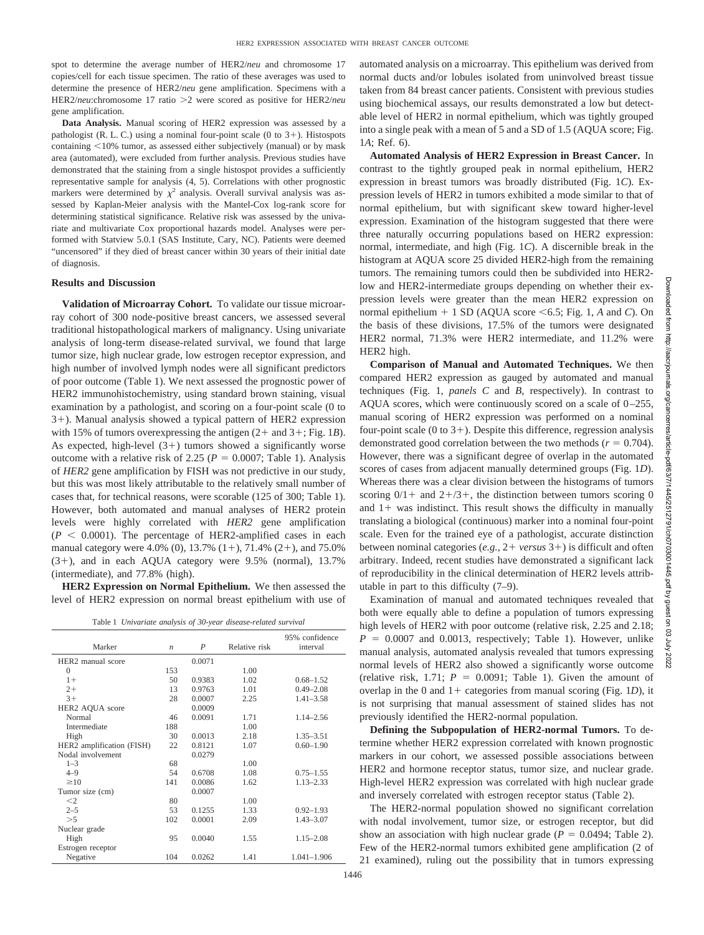spot to determine the average number of HER2/*neu* and chromosome 17 copies/cell for each tissue specimen. The ratio of these averages was used to determine the presence of HER2/*neu* gene amplification. Specimens with a HER2/neu:chromosome 17 ratio > 2 were scored as positive for HER2/neu gene amplification.

**Data Analysis.** Manual scoring of HER2 expression was assessed by a pathologist (R. L. C.) using a nominal four-point scale (0 to  $3+$ ). Histospots containing  $\leq 10\%$  tumor, as assessed either subjectively (manual) or by mask area (automated), were excluded from further analysis. Previous studies have demonstrated that the staining from a single histospot provides a sufficiently representative sample for analysis (4, 5). Correlations with other prognostic markers were determined by  $\chi^2$  analysis. Overall survival analysis was assessed by Kaplan-Meier analysis with the Mantel-Cox log-rank score for determining statistical significance. Relative risk was assessed by the univariate and multivariate Cox proportional hazards model. Analyses were performed with Statview 5.0.1 (SAS Institute, Cary, NC). Patients were deemed "uncensored" if they died of breast cancer within 30 years of their initial date of diagnosis.

### **Results and Discussion**

**Validation of Microarray Cohort.** To validate our tissue microarray cohort of 300 node-positive breast cancers, we assessed several traditional histopathological markers of malignancy. Using univariate analysis of long-term disease-related survival, we found that large tumor size, high nuclear grade, low estrogen receptor expression, and high number of involved lymph nodes were all significant predictors of poor outcome (Table 1). We next assessed the prognostic power of HER2 immunohistochemistry, using standard brown staining, visual examination by a pathologist, and scoring on a four-point scale (0 to 3+). Manual analysis showed a typical pattern of HER2 expression with 15% of tumors overexpressing the antigen  $(2 + \text{ and } 3 + \text{; Fig. 1B}).$ As expected, high-level  $(3+)$  tumors showed a significantly worse outcome with a relative risk of 2.25 ( $P = 0.0007$ ; Table 1). Analysis of *HER2* gene amplification by FISH was not predictive in our study, but this was most likely attributable to the relatively small number of cases that, for technical reasons, were scorable (125 of 300; Table 1). However, both automated and manual analyses of HER2 protein levels were highly correlated with *HER2* gene amplification  $(P < 0.0001)$ . The percentage of HER2-amplified cases in each manual category were 4.0% (0), 13.7%  $(1+)$ , 71.4%  $(2+)$ , and 75.0%  $(3+)$ , and in each AQUA category were 9.5% (normal), 13.7% (intermediate), and 77.8% (high).

**HER2 Expression on Normal Epithelium.** We then assessed the level of HER2 expression on normal breast epithelium with use of

| Table 1 Univariate analysis of 30-year disease-related survival |  |  |  |  |
|-----------------------------------------------------------------|--|--|--|--|
|-----------------------------------------------------------------|--|--|--|--|

| Marker                        | $\boldsymbol{n}$ | $\boldsymbol{P}$ | Relative risk | 95% confidence<br>interval |
|-------------------------------|------------------|------------------|---------------|----------------------------|
| HER <sub>2</sub> manual score |                  | 0.0071           |               |                            |
| $\Omega$                      | 153              |                  | 1.00          |                            |
| $1+$                          | 50               | 0.9383           | 1.02          | $0.68 - 1.52$              |
| $2+$                          | 13               | 0.9763           | 1.01          | $0.49 - 2.08$              |
| $3+$                          | 28               | 0.0007           | 2.25          | $1.41 - 3.58$              |
| HER2 AQUA score               |                  | 0.0009           |               |                            |
| Normal                        | 46               | 0.0091           | 1.71          | $1.14 - 2.56$              |
| Intermediate                  | 188              |                  | 1.00          |                            |
| High                          | 30               | 0.0013           | 2.18          | $1.35 - 3.51$              |
| HER2 amplification (FISH)     | 22               | 0.8121           | 1.07          | $0.60 - 1.90$              |
| Nodal involvement             |                  | 0.0279           |               |                            |
| $1 - 3$                       | 68               |                  | 1.00          |                            |
| $4 - 9$                       | 54               | 0.6708           | 1.08          | $0.75 - 1.55$              |
| $\geq 10$                     | 141              | 0.0086           | 1.62          | $1.13 - 2.33$              |
| Tumor size (cm)               |                  | 0.0007           |               |                            |
| $<$ 2                         | 80               |                  | 1.00          |                            |
| $2 - 5$                       | 53               | 0.1255           | 1.33          | $0.92 - 1.93$              |
| >5                            | 102              | 0.0001           | 2.09          | $1.43 - 3.07$              |
| Nuclear grade                 |                  |                  |               |                            |
| High                          | 95               | 0.0040           | 1.55          | $1.15 - 2.08$              |
| Estrogen receptor             |                  |                  |               |                            |
| Negative                      | 104              | 0.0262           | 1.41          | $1.041 - 1.906$            |

automated analysis on a microarray. This epithelium was derived from normal ducts and/or lobules isolated from uninvolved breast tissue taken from 84 breast cancer patients. Consistent with previous studies using biochemical assays, our results demonstrated a low but detectable level of HER2 in normal epithelium, which was tightly grouped into a single peak with a mean of 5 and a SD of 1.5 (AQUA score; Fig. 1*A*; Ref. 6).

**Automated Analysis of HER2 Expression in Breast Cancer.** In contrast to the tightly grouped peak in normal epithelium, HER2 expression in breast tumors was broadly distributed (Fig. 1*C*). Expression levels of HER2 in tumors exhibited a mode similar to that of normal epithelium, but with significant skew toward higher-level expression. Examination of the histogram suggested that there were three naturally occurring populations based on HER2 expression: normal, intermediate, and high (Fig. 1*C*). A discernible break in the histogram at AQUA score 25 divided HER2-high from the remaining tumors. The remaining tumors could then be subdivided into HER2 low and HER2-intermediate groups depending on whether their expression levels were greater than the mean HER2 expression on normal epithelium  $+ 1$  SD (AQUA score  $\le 6.5$ ; Fig. 1, *A* and *C*). On the basis of these divisions, 17.5% of the tumors were designated HER2 normal, 71.3% were HER2 intermediate, and 11.2% were HER2 high.

**Comparison of Manual and Automated Techniques.** We then compared HER2 expression as gauged by automated and manual techniques (Fig. 1, *panels C* and *B*, respectively). In contrast to AQUA scores, which were continuously scored on a scale of 0–255, manual scoring of HER2 expression was performed on a nominal four-point scale  $(0 \text{ to } 3+)$ . Despite this difference, regression analysis demonstrated good correlation between the two methods  $(r = 0.704)$ . However, there was a significant degree of overlap in the automated scores of cases from adjacent manually determined groups (Fig. 1*D*). Whereas there was a clear division between the histograms of tumors scoring  $0/1$  + and  $2+/3+$ , the distinction between tumors scoring 0 and  $1+$  was indistinct. This result shows the difficulty in manually translating a biological (continuous) marker into a nominal four-point scale. Even for the trained eye of a pathologist, accurate distinction between nominal categories (e.g., 2+ versus 3+) is difficult and often arbitrary. Indeed, recent studies have demonstrated a significant lack of reproducibility in the clinical determination of HER2 levels attributable in part to this difficulty (7–9).

Examination of manual and automated techniques revealed that both were equally able to define a population of tumors expressing high levels of HER2 with poor outcome (relative risk, 2.25 and 2.18;  $P = 0.0007$  and 0.0013, respectively; Table 1). However, unlike manual analysis, automated analysis revealed that tumors expressing normal levels of HER2 also showed a significantly worse outcome (relative risk, 1.71;  $P = 0.0091$ ; Table 1). Given the amount of overlap in the 0 and  $1+$  categories from manual scoring (Fig. 1*D*), it is not surprising that manual assessment of stained slides has not previously identified the HER2-normal population.

**Defining the Subpopulation of HER2-normal Tumors.** To determine whether HER2 expression correlated with known prognostic markers in our cohort, we assessed possible associations between HER2 and hormone receptor status, tumor size, and nuclear grade. High-level HER2 expression was correlated with high nuclear grade and inversely correlated with estrogen receptor status (Table 2).

The HER2-normal population showed no significant correlation with nodal involvement, tumor size, or estrogen receptor, but did show an association with high nuclear grade  $(P = 0.0494;$  Table 2). Few of the HER2-normal tumors exhibited gene amplification (2 of 21 examined), ruling out the possibility that in tumors expressing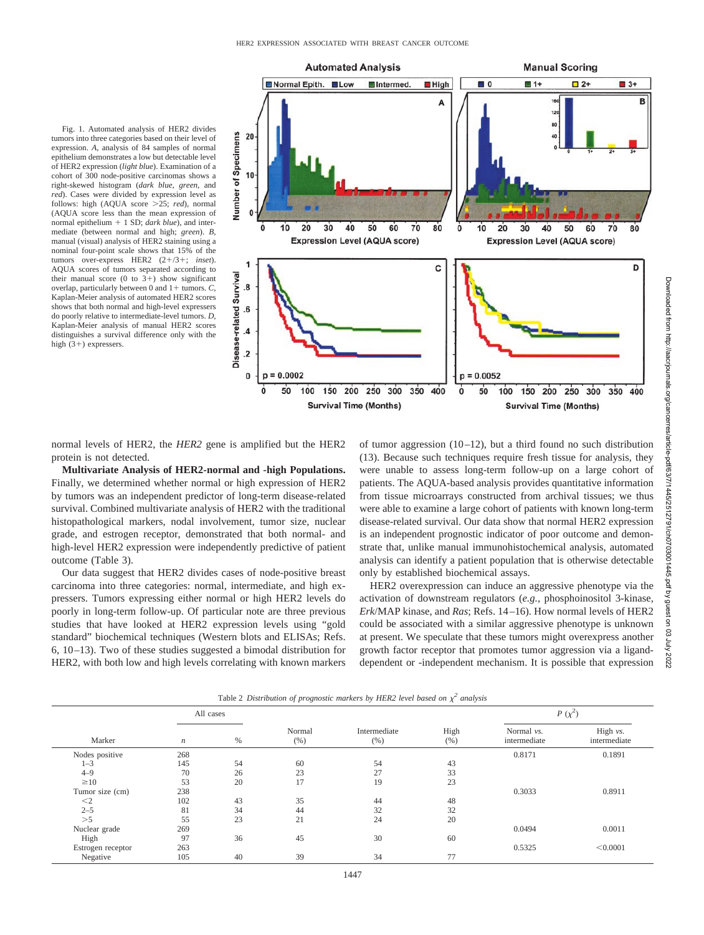

Fig. 1. Automated analysis of HER2 divides tumors into three categories based on their level of expression. *A*, analysis of 84 samples of normal epithelium demonstrates a low but detectable level of HER2 expression (*light blue*). Examination of a cohort of 300 node-positive carcinomas shows a right-skewed histogram (*dark blue*, *green*, and *red*). Cases were divided by expression level as follows: high (AQUA score > 25; *red*), normal (AQUA score less than the mean expression of normal epithelium  $+ 1$  SD; *dark blue*), and intermediate (between normal and high; *green*). *B*, manual (visual) analysis of HER2 staining using a nominal four-point scale shows that 15% of the tumors over-express HER2 (2+/3+; *inset*). AQUA scores of tumors separated according to their manual score (0 to  $3+$ ) show significant overlap, particularly between 0 and  $1 + \text{ tumors}$ . *C*, Kaplan-Meier analysis of automated HER2 scores shows that both normal and high-level expressers do poorly relative to intermediate-level tumors. *D*, Kaplan-Meier analysis of manual HER2 scores distinguishes a survival difference only with the high  $(3+)$  expressers.

normal levels of HER2, the *HER2* gene is amplified but the HER2 protein is not detected.

**Multivariate Analysis of HER2-normal and -high Populations.** Finally, we determined whether normal or high expression of HER2 by tumors was an independent predictor of long-term disease-related survival. Combined multivariate analysis of HER2 with the traditional histopathological markers, nodal involvement, tumor size, nuclear grade, and estrogen receptor, demonstrated that both normal- and high-level HER2 expression were independently predictive of patient outcome (Table 3).

Our data suggest that HER2 divides cases of node-positive breast carcinoma into three categories: normal, intermediate, and high expressers. Tumors expressing either normal or high HER2 levels do poorly in long-term follow-up. Of particular note are three previous studies that have looked at HER2 expression levels using "gold standard" biochemical techniques (Western blots and ELISAs; Refs. 6, 10–13). Two of these studies suggested a bimodal distribution for HER2, with both low and high levels correlating with known markers

of tumor aggression  $(10-12)$ , but a third found no such distribution (13). Because such techniques require fresh tissue for analysis, they were unable to assess long-term follow-up on a large cohort of patients. The AQUA-based analysis provides quantitative information from tissue microarrays constructed from archival tissues; we thus were able to examine a large cohort of patients with known long-term disease-related survival. Our data show that normal HER2 expression is an independent prognostic indicator of poor outcome and demonstrate that, unlike manual immunohistochemical analysis, automated analysis can identify a patient population that is otherwise detectable only by established biochemical assays.

HER2 overexpression can induce an aggressive phenotype via the activation of downstream regulators (*e.g.,* phosphoinositol 3-kinase, *Erk*/MAP kinase, and *Ras*; Refs. 14–16). How normal levels of HER2 could be associated with a similar aggressive phenotype is unknown at present. We speculate that these tumors might overexpress another growth factor receptor that promotes tumor aggression via a liganddependent or -independent mechanism. It is possible that expression

| Marker            | All cases        |    |               |                      |             | $P(\chi^2)$                |                            |
|-------------------|------------------|----|---------------|----------------------|-------------|----------------------------|----------------------------|
|                   | $\boldsymbol{n}$ | %  | Normal<br>(%) | Intermediate<br>(% ) | High<br>(%) | Normal vs.<br>intermediate | High $vs.$<br>intermediate |
| Nodes positive    | 268              |    |               |                      |             | 0.8171                     | 0.1891                     |
| $1 - 3$           | 145              | 54 | 60            | 54                   | 43          |                            |                            |
| $4 - 9$           | 70               | 26 | 23            | 27                   | 33          |                            |                            |
| $\geq 10$         | 53               | 20 | 17            | 19                   | 23          |                            |                            |
| Tumor size (cm)   | 238              |    |               |                      |             | 0.3033                     | 0.8911                     |
| $<$ 2             | 102              | 43 | 35            | 44                   | 48          |                            |                            |
| $2 - 5$           | 81               | 34 | 44            | 32                   | 32          |                            |                            |
| >5                | 55               | 23 | 21            | 24                   | 20          |                            |                            |
| Nuclear grade     | 269              |    |               |                      |             | 0.0494                     | 0.0011                     |
| High              | 97               | 36 | 45            | 30                   | 60          |                            |                            |
| Estrogen receptor | 263              |    |               |                      |             | 0.5325                     | < 0.0001                   |
| Negative          | 105              | 40 | 39            | 34                   | 77          |                            |                            |

Table 2 *Distribution of prognostic markers by HER2 level based on <sup>2</sup> analysis*